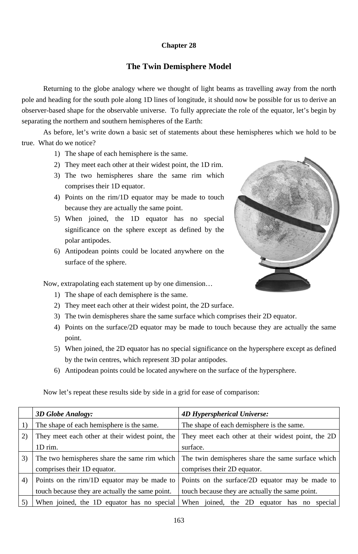## **Chapter 28**

## **The Twin Demisphere Model**

Returning to the globe analogy where we thought of light beams as travelling away from the north pole and heading for the south pole along 1D lines of longitude, it should now be possible for us to derive an observer-based shape for the observable universe. To fully appreciate the role of the equator, let's begin by separating the northern and southern hemispheres of the Earth:

As before, let's write down a basic set of statements about these hemispheres which we hold to be true. What do we notice?

- 1) The shape of each hemisphere is the same.
- 2) They meet each other at their widest point, the 1D rim.
- 3) The two hemispheres share the same rim which comprises their 1D equator.
- 4) Points on the rim/1D equator may be made to touch because they are actually the same point.
- 5) When joined, the 1D equator has no special significance on the sphere except as defined by the polar antipodes.
- 6) Antipodean points could be located anywhere on the surface of the sphere.

Now, extrapolating each statement up by one dimension...

- 1) The shape of each demisphere is the same.
- 2) They meet each other at their widest point, the 2D surface.
- 3) The twin demispheres share the same surface which comprises their 2D equator.
- 4) Points on the surface/2D equator may be made to touch because they are actually the same point.
- 5) When joined, the 2D equator has no special significance on the hypersphere except as defined by the twin centres, which represent 3D polar antipodes.
- 6) Antipodean points could be located anywhere on the surface of the hypersphere.





|    | <b>3D Globe Analogy:</b>                        | <b>4D Hyperspherical Universe:</b>                  |
|----|-------------------------------------------------|-----------------------------------------------------|
|    | The shape of each hemisphere is the same.       | The shape of each demisphere is the same.           |
| 2) | They meet each other at their widest point, the | They meet each other at their widest point, the 2D  |
|    | 1D rim.                                         | surface.                                            |
| 3) | The two hemispheres share the same rim which    | The twin demispheres share the same surface which   |
|    | comprises their 1D equator.                     | comprises their 2D equator.                         |
| 4) | Points on the rim/1D equator may be made to     | Points on the surface/2D equator may be made to     |
|    | touch because they are actually the same point. | touch because they are actually the same point.     |
|    | When joined, the 1D equator has no special      | When joined, the 2D<br>equator has<br>special<br>no |

163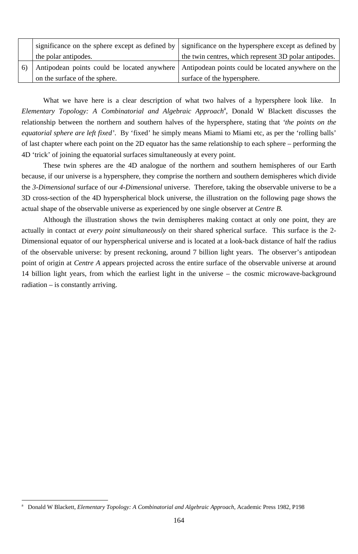|                                             | significance on the sphere except as defined by   significance on the hypersphere except as defined by |
|---------------------------------------------|--------------------------------------------------------------------------------------------------------|
| the polar antipodes.                        | the twin centres, which represent 3D polar antipodes.                                                  |
| Antipodean points could be located anywhere | Antipodean points could be located anywhere on the                                                     |
| on the surface of the sphere.               | surface of the hypersphere.                                                                            |

What we have here is a clear description of what two halves of a hypersphere look like. In Elementary Topology: A Combinatorial and Algebraic Approach<sup>a</sup>, Donald W Blackett discusses the relationship between the northern and southern halves of the hypersphere, stating that *'the points on the equatorial sphere are left fixed'*. By 'fixed' he simply means Miami to Miami etc, as per the 'rolling balls' of last chapter where each point on the 2D equator has the same relationship to each sphere – performing the 4D 'trick' of joining the equatorial surfaces simultaneously at every point.

These twin spheres are the 4D analogue of the northern and southern hemispheres of our Earth because, if our universe is a hypersphere, they comprise the northern and southern demispheres which divide the *3-Dimensional* surface of our *4-Dimensional* universe. Therefore, taking the observable universe to be a 3D cross-section of the 4D hyperspherical block universe, the illustration on the following page shows the actual shape of the observable universe as experienced by one single observer at *Centre B*.

Although the illustration shows the twin demispheres making contact at only one point, they are actually in contact *at every point simultaneously* on their shared spherical surface. This surface is the 2- Dimensional equator of our hyperspherical universe and is located at a look-back distance of half the radius of the observable universe: by present reckoning, around 7 billion light years. The observer's antipodean point of origin at *Centre A* appears projected across the entire surface of the observable universe at around 14 billion light years, from which the earliest light in the universe – the cosmic microwave-background radiation – is constantly arriving.

-

<sup>164</sup>

a Donald W Blackett, *Elementary Topology: A Combinatorial and Algebraic Approach*, Academic Press 1982, P198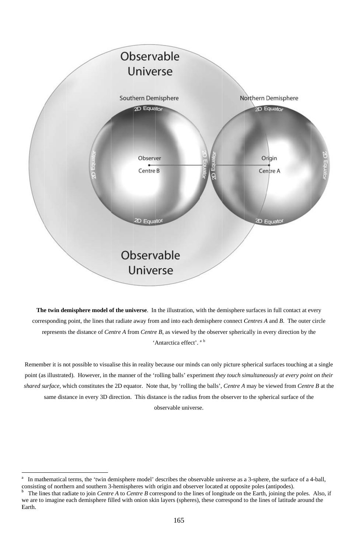

The twin demisphere model of the universe. In the illustration, with the demisphere surfaces in full contact at every corresponding point, the lines that radiate away from and into each demisphere connect Centres A and B. The outer circle represents the distance of *Centre A* from *Centre B*, as viewed by the observer spherically in every direction by the 'Antarctica effect'. <sup>a b</sup>

Remember it is not possible to visualise this in reality because our minds can only picture spherical surfaces touching at a single point (as illustrated). However, in the manner of the 'rolling balls' experiment they touch simultaneously at every point on their shared surface, which constitutes the 2D equator. Note that, by 'rolling the balls', Centre A may be viewed from Centre B at the same distance in every 3D direction. This distance is the radius from the observer to the spherical surface of the

observable universe.

165

In mathematical terms, the 'twin demisphere model' describes the observable universe as a 3-sphere, the surface of a 4-ball,  $\mathbf{a}$ consisting of northern and southern 3-hemispheres with origin and observer located at opposite poles (antipodes).  $\mathbf b$ The lines that radiate to join Centre A to Centre B correspond to the lines of longitude on the Earth, joining the poles. Also, if we are to imagine each demisphere filled with onion skin layers (spheres), these correspond to the lines of latitude around the Earth.